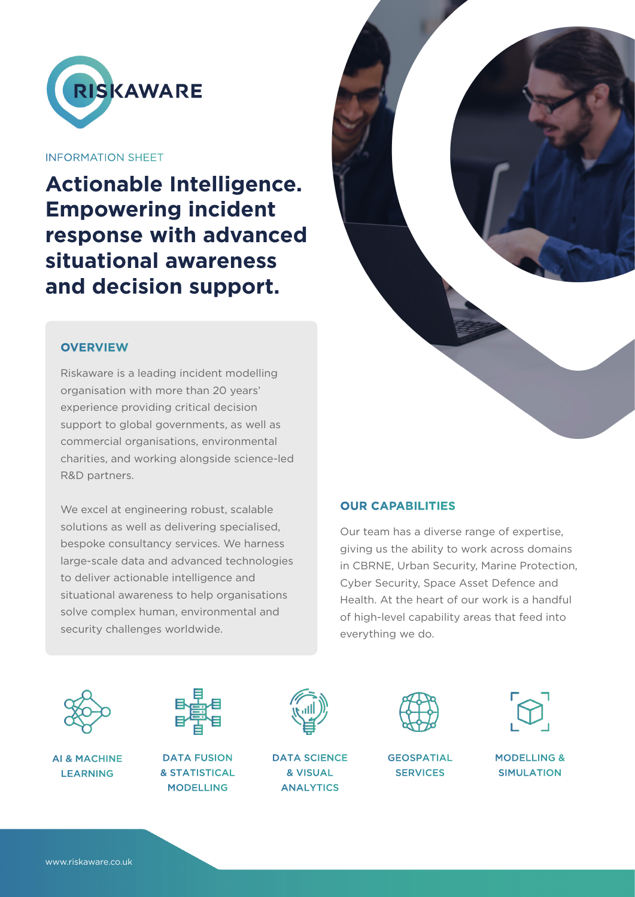

INFORMATION SHEET

**Actionable Intelligence. Empowering incident response with advanced situational awareness and decision support.**

# **OVERVIEW**

Riskaware is a leading incident modelling organisation with more than 20 years' experience providing critical decision support to global governments, as well as commercial organisations, environmental charities, and working alongside science-led R&D partners.

We excel at engineering robust, scalable solutions as well as delivering specialised, bespoke consultancy services. We harness large-scale data and advanced technologies to deliver actionable intelligence and situational awareness to help organisations solve complex human, environmental and security challenges worldwide.



## **OUR CAPABILITIES**

Our team has a diverse range of expertise, giving us the ability to work across domains in CBRNE, Urban Security, Marine Protection, Cyber Security, Space Asset Defence and Health. At the heart of our work is a handful of high-level capability areas that feed into everything we do.



AI & MACHINE LEARNING



DATA FUSION & STATISTICAL MODELLING



DATA SCIENCE & VISUAL ANALYTICS



**GEOSPATIAL SERVICES** 



MODELLING & SIMULATION